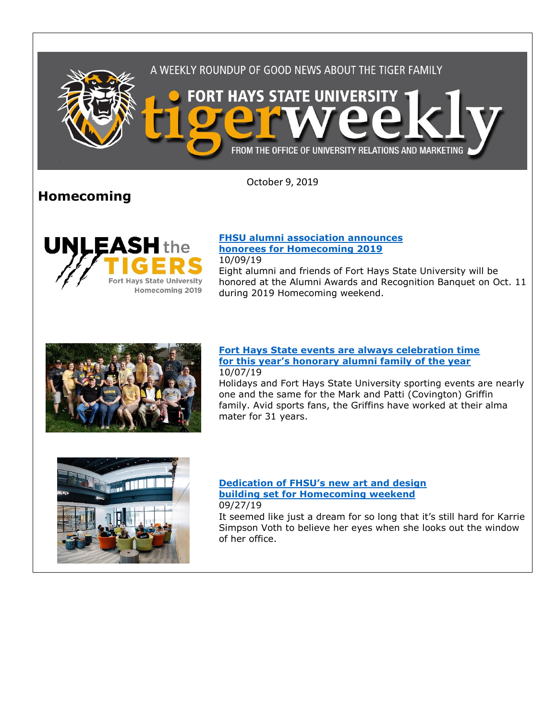

October 9, 2019

# **Homecoming**



### **[FHSU alumni association announces](https://www.fhsu.edu/news/2019/10/fhsu-alumni-association-announces-honorees-for-homecoming-2019)  [honorees for Homecoming 2019](https://www.fhsu.edu/news/2019/10/fhsu-alumni-association-announces-honorees-for-homecoming-2019)**

during 2019 Homecoming weekend.

10/09/19 Eight alumni and friends of Fort Hays State University will be honored at the Alumni Awards and Recognition Banquet on Oct. 11



### **Fort Hays State [events are always celebration time](https://www.fhsu.edu/news/2019/10/fort-hays-state-events-are-always-celebration-time-for-this-years-honorary-alumni-family-of-the-year)  [for this year's honorary alumni family of the year](https://www.fhsu.edu/news/2019/10/fort-hays-state-events-are-always-celebration-time-for-this-years-honorary-alumni-family-of-the-year)** 10/07/19

Holidays and Fort Hays State University sporting events are nearly one and the same for the Mark and Patti (Covington) Griffin family. Avid sports fans, the Griffins have worked at their alma mater for 31 years.



### **[Dedication of FHSU's new art and design](https://www.fhsu.edu/news/2019/09/dedication-of-new-art-and-design-building)  [building set for Homecoming weekend](https://www.fhsu.edu/news/2019/09/dedication-of-new-art-and-design-building)** 09/27/19

It seemed like just a dream for so long that it's still hard for Karrie Simpson Voth to believe her eyes when she looks out the window of her office.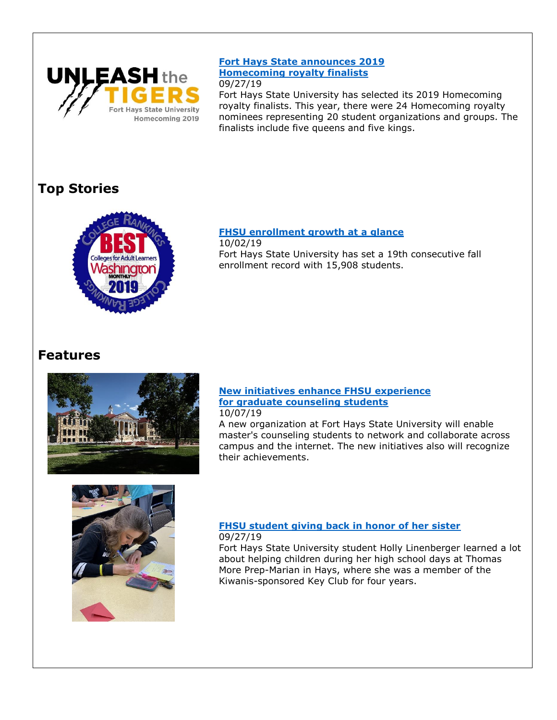

### **[Fort Hays State announces 2019](https://www.fhsu.edu/news/2019/09/homecoming-royalty-finalists-2019)  [Homecoming royalty finalists](https://www.fhsu.edu/news/2019/09/homecoming-royalty-finalists-2019)** 09/27/19

Fort Hays State University has selected its 2019 Homecoming royalty finalists. This year, there were 24 Homecoming royalty nominees representing 20 student organizations and groups. The finalists include five queens and five kings.

# **Top Stories**



## **[FHSU enrollment growth at a glance](https://www.fhsu.edu/news/2019/10/record-fall-enrollments-at-fort-hays-state-continue-with-a-19th-straight-increase)**

10/02/19 Fort Hays State University has set a 19th consecutive fall enrollment record with 15,908 students.

# **Features**



### **[New initiatives enhance FHSU](https://www.fhsu.edu/news/2019/10/new-initiatives-enhance-fhsu-experience-for-graduate-counseling-students) experience [for graduate counseling students](https://www.fhsu.edu/news/2019/10/new-initiatives-enhance-fhsu-experience-for-graduate-counseling-students)** 10/07/19

A new organization at Fort Hays State University will enable master's counseling students to network and collaborate across campus and the internet. The new initiatives also will recognize their achievements.



## **[FHSU student giving back in honor of her sister](https://www.fhsu.edu/news/2019/09/vig-student-giving-back)** 09/27/19

Fort Hays State University student Holly Linenberger learned a lot about helping children during her high school days at Thomas More Prep-Marian in Hays, where she was a member of the Kiwanis-sponsored Key Club for four years.